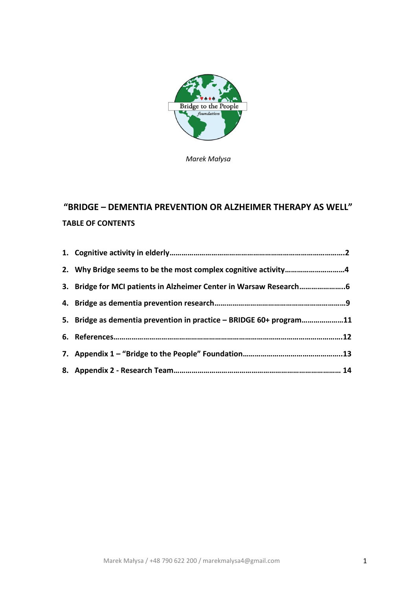

*Marek Małysa*

# **"BRIDGE – DEMENTIA PREVENTION OR ALZHEIMER THERAPY AS WELL" TABLE OF CONTENTS**

| 2. Why Bridge seems to be the most complex cognitive activity4      |     |
|---------------------------------------------------------------------|-----|
| 3. Bridge for MCI patients in Alzheimer Center in Warsaw Research   |     |
|                                                                     |     |
| 5. Bridge as dementia prevention in practice - BRIDGE 60+ program11 |     |
|                                                                     | .12 |
|                                                                     |     |
|                                                                     | 14  |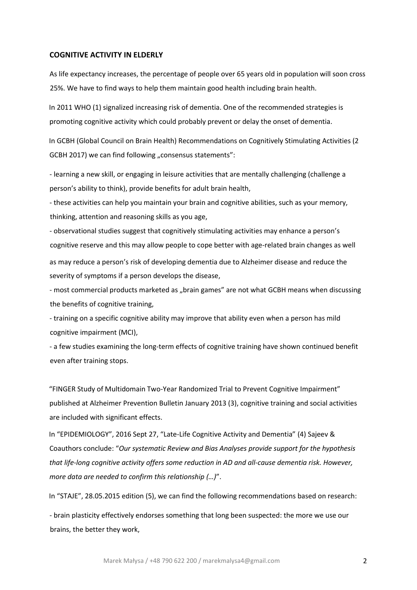#### **COGNITIVE ACTIVITY IN ELDERLY**

As life expectancy increases, the percentage of people over 65 years old in population will soon cross 25%. We have to find ways to help them maintain good health including brain health.

In 2011 WHO (1) signalized increasing risk of dementia. One of the recommended strategies is promoting cognitive activity which could probably prevent or delay the onset of dementia.

In GCBH (Global Council on Brain Health) Recommendations on Cognitively Stimulating Activities (2 GCBH 2017) we can find following "consensus statements":

- learning a new skill, or engaging in leisure activities that are mentally challenging (challenge a person's ability to think), provide benefits for adult brain health,

- these activities can help you maintain your brain and cognitive abilities, such as your memory, thinking, attention and reasoning skills as you age,

- observational studies suggest that cognitively stimulating activities may enhance a person's cognitive reserve and this may allow people to cope better with age-related brain changes as well as may reduce a person's risk of developing dementia due to Alzheimer disease and reduce the severity of symptoms if a person develops the disease,

- most commercial products marketed as "brain games" are not what GCBH means when discussing the benefits of cognitive training,

- training on a specific cognitive ability may improve that ability even when a person has mild cognitive impairment (MCI),

- a few studies examining the long-term effects of cognitive training have shown continued benefit even after training stops.

"FINGER Study of Multidomain Two-Year Randomized Trial to Prevent Cognitive Impairment" published at Alzheimer Prevention Bulletin January 2013 (3), cognitive training and social activities are included with significant effects.

In "EPIDEMIOLOGY", 2016 Sept 27, "Late-Life Cognitive Activity and Dementia" (4) Sajeev & Coauthors conclude: "*Our systematic Review and Bias Analyses provide support for the hypothesis that life-long cognitive activity offers some reduction in AD and all-cause dementia risk. However, more data are needed to confirm this relationship (…)*".

In "STAJE", 28.05.2015 edition (5), we can find the following recommendations based on research:

- brain plasticity effectively endorses something that long been suspected: the more we use our brains, the better they work,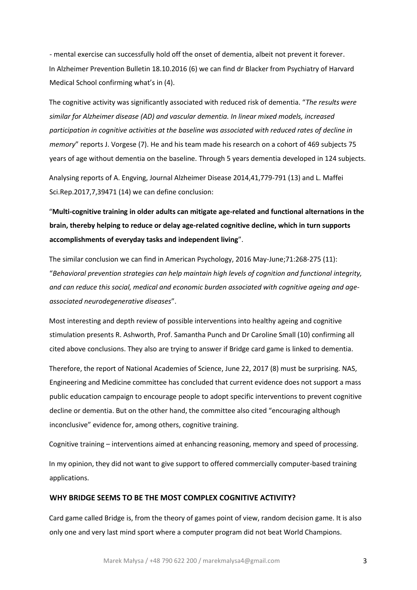- mental exercise can successfully hold off the onset of dementia, albeit not prevent it forever. In Alzheimer Prevention Bulletin 18.10.2016 (6) we can find dr Blacker from Psychiatry of Harvard Medical School confirming what's in (4).

The cognitive activity was significantly associated with reduced risk of dementia. "*The results were similar for Alzheimer disease (AD) and vascular dementia. In linear mixed models, increased participation in cognitive activities at the baseline was associated with reduced rates of decline in memory*" reports J. Vorgese (7). He and his team made his research on a cohort of 469 subjects 75 years of age without dementia on the baseline. Through 5 years dementia developed in 124 subjects.

Analysing reports of A. Engving, Journal Alzheimer Disease 2014,41,779-791 (13) and L. Maffei Sci.Rep.2017,7,39471 (14) we can define conclusion:

"**Multi-cognitive training in older adults can mitigate age-related and functional alternations in the brain, thereby helping to reduce or delay age-related cognitive decline, which in turn supports accomplishments of everyday tasks and independent living**".

The similar conclusion we can find in American Psychology, 2016 May-June;71:268-275 (11): "*Behavioral prevention strategies can help maintain high levels of cognition and functional integrity, and can reduce this social, medical and economic burden associated with cognitive ageing and ageassociated neurodegenerative diseases*".

Most interesting and depth review of possible interventions into healthy ageing and cognitive stimulation presents R. Ashworth, Prof. Samantha Punch and Dr Caroline Small (10) confirming all cited above conclusions. They also are trying to answer if Bridge card game is linked to dementia.

Therefore, the report of National Academies of Science, June 22, 2017 (8) must be surprising. NAS, Engineering and Medicine committee has concluded that current evidence does not support a mass public education campaign to encourage people to adopt specific interventions to prevent cognitive decline or dementia. But on the other hand, the committee also cited "encouraging although inconclusive" evidence for, among others, cognitive training.

Cognitive training – interventions aimed at enhancing reasoning, memory and speed of processing. In my opinion, they did not want to give support to offered commercially computer-based training applications.

# **WHY BRIDGE SEEMS TO BE THE MOST COMPLEX COGNITIVE ACTIVITY?**

Card game called Bridge is, from the theory of games point of view, random decision game. It is also only one and very last mind sport where a computer program did not beat World Champions.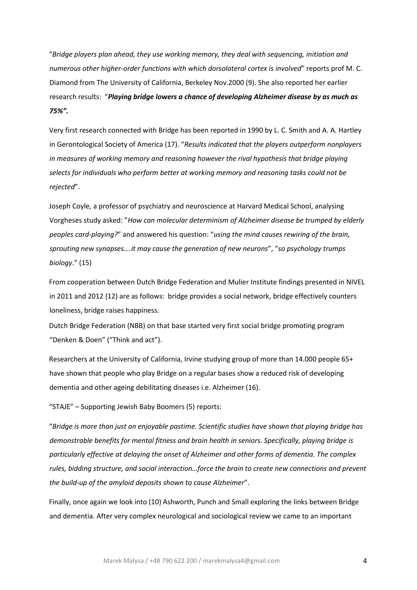"*Bridge players plan ahead, they use working memory, they deal with sequencing, initiation and numerous other higher-order functions with which dorsolateral cortex is involved*" reports prof M. C. Diamond from The University of California, Berkeley Nov.2000 (9). She also reported her earlier research results: "*Playing bridge lowers a chance of developing Alzheimer disease by as much as 75%".*

Very first research connected with Bridge has been reported in 1990 by L. C. Smith and A. A. Hartley in Gerontological Society of America (17). "*Results indicated that the players outperform nonplayers in measures of working memory and reasoning however the rival hypothesis that bridge playing selects for individuals who perform better at working memory and reasoning tasks could not be rejected*".

Joseph Coyle, a professor of psychiatry and neuroscience at Harvard Medical School, analysing Vorgheses study asked: "*How can molecular determinism of Alzheimer disease be trumped by elderly peoples card-playing?*" and answered his question: "*using the mind causes rewiring of the brain, sprouting new synapses….it may cause the generation of new neurons*", "*so psychology trumps biology*." (15)

From cooperation between Dutch Bridge Federation and Mulier Institute findings presented in NIVEL in 2011 and 2012 (12) are as follows: bridge provides a social network, bridge effectively counters loneliness, bridge raises happiness.

Dutch Bridge Federation (NBB) on that base started very first social bridge promoting program "Denken & Doen" ("Think and act").

Researchers at the University of California, Irvine studying group of more than 14.000 people 65+ have shown that people who play Bridge on a regular bases show a reduced risk of developing dementia and other ageing debilitating diseases i.e. Alzheimer (16).

"STAJE" – Supporting Jewish Baby Boomers (5) reports:

"*Bridge is more than just an enjoyable pastime. Scientific studies have shown that playing bridge has demonstrable benefits for mental fitness and brain health in seniors. Specifically, playing bridge is particularly effective at delaying the onset of Alzheimer and other forms of dementia. The complex rules, bidding structure, and social interaction…force the brain to create new connections and prevent the build-up of the amyloid deposits shown to cause Alzheimer*".

Finally, once again we look into (10) Ashworth, Punch and Small exploring the links between Bridge and dementia. After very complex neurological and sociological review we came to an important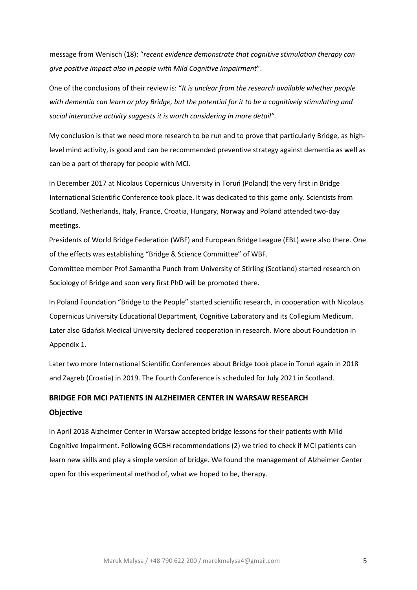message from Wenisch (18): "*recent evidence demonstrate that cognitive stimulation therapy can give positive impact also in people with Mild Cognitive Impairment*".

One of the conclusions of their review is: "*It is unclear from the research available whether people with dementia can learn or play Bridge, but the potential for it to be a cognitively stimulating and social interactive activity suggests it is worth considering in more detail".*

My conclusion is that we need more research to be run and to prove that particularly Bridge, as highlevel mind activity, is good and can be recommended preventive strategy against dementia as well as can be a part of therapy for people with MCI.

In December 2017 at Nicolaus Copernicus University in Toruń (Poland) the very first in Bridge International Scientific Conference took place. It was dedicated to this game only. Scientists from Scotland, Netherlands, Italy, France, Croatia, Hungary, Norway and Poland attended two-day meetings.

Presidents of World Bridge Federation (WBF) and European Bridge League (EBL) were also there. One of the effects was establishing "Bridge & Science Committee" of WBF.

Committee member Prof Samantha Punch from University of Stirling (Scotland) started research on Sociology of Bridge and soon very first PhD will be promoted there.

In Poland Foundation "Bridge to the People" started scientific research, in cooperation with Nicolaus Copernicus University Educational Department, Cognitive Laboratory and its Collegium Medicum. Later also Gdańsk Medical University declared cooperation in research. More about Foundation in Appendix 1.

Later two more International Scientific Conferences about Bridge took place in Toruń again in 2018 and Zagreb (Croatia) in 2019. The Fourth Conference is scheduled for July 2021 in Scotland.

# **BRIDGE FOR MCI PATIENTS IN ALZHEIMER CENTER IN WARSAW RESEARCH Objective**

In April 2018 Alzheimer Center in Warsaw accepted bridge lessons for their patients with Mild Cognitive Impairment. Following GCBH recommendations (2) we tried to check if MCI patients can learn new skills and play a simple version of bridge. We found the management of Alzheimer Center open for this experimental method of, what we hoped to be, therapy.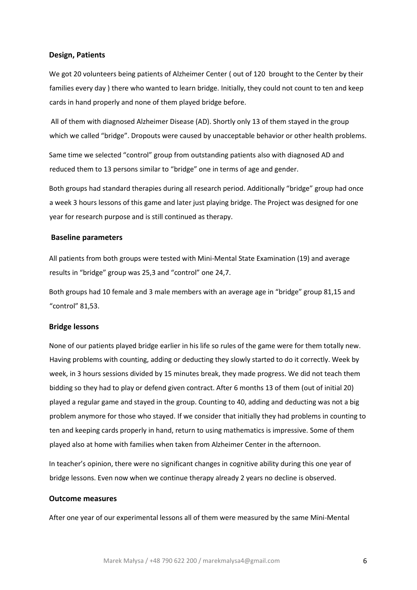### **Design, Patients**

We got 20 volunteers being patients of Alzheimer Center (out of 120 brought to the Center by their families every day ) there who wanted to learn bridge. Initially, they could not count to ten and keep cards in hand properly and none of them played bridge before.

All of them with diagnosed Alzheimer Disease (AD). Shortly only 13 of them stayed in the group which we called "bridge". Dropouts were caused by unacceptable behavior or other health problems.

Same time we selected "control" group from outstanding patients also with diagnosed AD and reduced them to 13 persons similar to "bridge" one in terms of age and gender.

Both groups had standard therapies during all research period. Additionally "bridge" group had once a week 3 hours lessons of this game and later just playing bridge. The Project was designed for one year for research purpose and is still continued as therapy.

### **Baseline parameters**

All patients from both groups were tested with Mini-Mental State Examination (19) and average results in "bridge" group was 25,3 and "control" one 24,7.

Both groups had 10 female and 3 male members with an average age in "bridge" group 81,15 and "control" 81,53.

### **Bridge lessons**

None of our patients played bridge earlier in his life so rules of the game were for them totally new. Having problems with counting, adding or deducting they slowly started to do it correctly. Week by week, in 3 hours sessions divided by 15 minutes break, they made progress. We did not teach them bidding so they had to play or defend given contract. After 6 months 13 of them (out of initial 20) played a regular game and stayed in the group. Counting to 40, adding and deducting was not a big problem anymore for those who stayed. If we consider that initially they had problems in counting to ten and keeping cards properly in hand, return to using mathematics is impressive. Some of them played also at home with families when taken from Alzheimer Center in the afternoon.

In teacher's opinion, there were no significant changes in cognitive ability during this one year of bridge lessons. Even now when we continue therapy already 2 years no decline is observed.

#### **Outcome measures**

After one year of our experimental lessons all of them were measured by the same Mini-Mental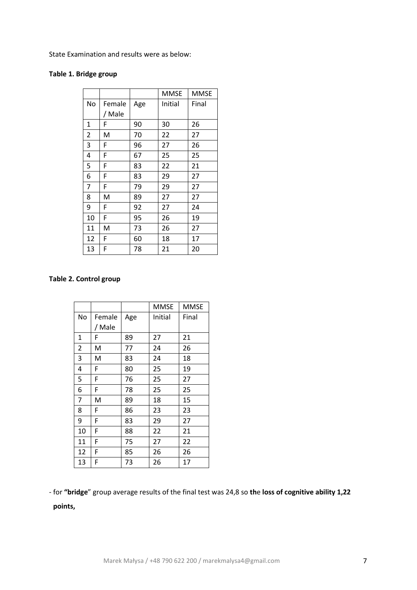State Examination and results were as below:

# **Table 1. Bridge group**

|    |        |     | MMSE    | <b>MMSE</b> |
|----|--------|-----|---------|-------------|
| No | Female | Age | Initial | Final       |
|    | / Male |     |         |             |
| 1  | F      | 90  | 30      | 26          |
| 2  | M      | 70  | 22      | 27          |
| 3  | F      | 96  | 27      | 26          |
| 4  | F      | 67  | 25      | 25          |
| 5  | F      | 83  | 22      | 21          |
| 6  | F      | 83  | 29      | 27          |
| 7  | F      | 79  | 29      | 27          |
| 8  | M      | 89  | 27      | 27          |
| 9  | F      | 92  | 27      | 24          |
| 10 | F      | 95  | 26      | 19          |
| 11 | M      | 73  | 26      | 27          |
| 12 | F      | 60  | 18      | 17          |
| 13 | F      | 78  | 21      | 20          |

# **Table 2. Control group**

|                |        |     | MMSE    | MMSE  |
|----------------|--------|-----|---------|-------|
| No             | Female | Age | Initial | Final |
|                | / Male |     |         |       |
| $\mathbf{1}$   | F      | 89  | 27      | 21    |
| 2              | M      | 77  | 24      | 26    |
| 3              | M      | 83  | 24      | 18    |
| 4              | F      | 80  | 25      | 19    |
| 5              | F      | 76  | 25      | 27    |
| 6              | F      | 78  | 25      | 25    |
| $\overline{7}$ | M      | 89  | 18      | 15    |
| 8<br>9         | F      | 86  | 23      | 23    |
|                | F      | 83  | 29      | 27    |
| 10             | F      | 88  | 22      | 21    |
| 11             | F      | 75  | 27      | 22    |
| 12             | F      | 85  | 26      | 26    |
| 13             | F      | 73  | 26      | 17    |

- for **"bridge**" group average results of the final test was 24,8 so **th**e **loss of cognitive ability 1,22** 

**points,**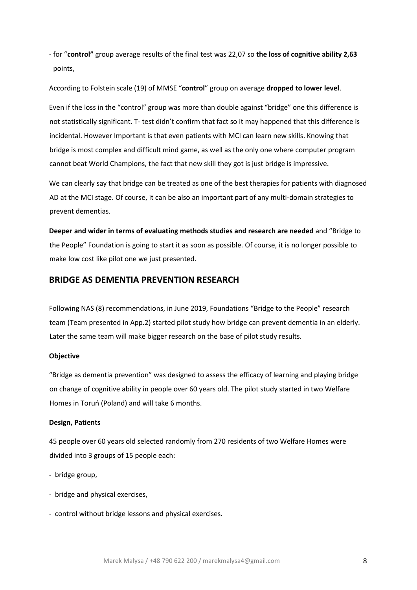- for "**control"** group average results of the final test was 22,07 so **the loss of cognitive ability 2,63** points,

According to Folstein scale (19) of MMSE "**control**" group on average **dropped to lower level**.

Even if the loss in the "control" group was more than double against "bridge" one this difference is not statistically significant. T- test didn't confirm that fact so it may happened that this difference is incidental. However Important is that even patients with MCI can learn new skills. Knowing that bridge is most complex and difficult mind game, as well as the only one where computer program cannot beat World Champions, the fact that new skill they got is just bridge is impressive.

We can clearly say that bridge can be treated as one of the best therapies for patients with diagnosed AD at the MCI stage. Of course, it can be also an important part of any multi-domain strategies to prevent dementias.

**Deeper and wider in terms of evaluating methods studies and research are needed** and "Bridge to the People" Foundation is going to start it as soon as possible. Of course, it is no longer possible to make low cost like pilot one we just presented.

# **BRIDGE AS DEMENTIA PREVENTION RESEARCH**

Following NAS (8) recommendations, in June 2019, Foundations "Bridge to the People" research team (Team presented in App.2) started pilot study how bridge can prevent dementia in an elderly. Later the same team will make bigger research on the base of pilot study results.

#### **Objective**

"Bridge as dementia prevention" was designed to assess the efficacy of learning and playing bridge on change of cognitive ability in people over 60 years old. The pilot study started in two Welfare Homes in Toruń (Poland) and will take 6 months.

#### **Design, Patients**

45 people over 60 years old selected randomly from 270 residents of two Welfare Homes were divided into 3 groups of 15 people each:

- bridge group,
- bridge and physical exercises,
- control without bridge lessons and physical exercises.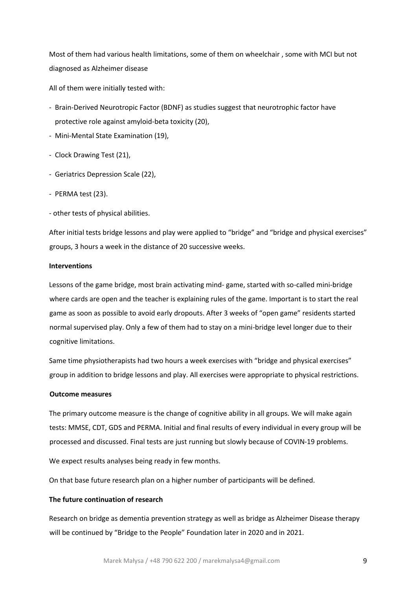Most of them had various health limitations, some of them on wheelchair , some with MCI but not diagnosed as Alzheimer disease

All of them were initially tested with:

- Brain-Derived Neurotropic Factor (BDNF) as studies suggest that neurotrophic factor have protective role against amyloid-beta toxicity (20),
- Mini-Mental State Examination (19),
- Clock Drawing Test (21),
- Geriatrics Depression Scale (22),
- PERMA test (23).
- other tests of physical abilities.

After initial tests bridge lessons and play were applied to "bridge" and "bridge and physical exercises" groups, 3 hours a week in the distance of 20 successive weeks.

### **Interventions**

Lessons of the game bridge, most brain activating mind- game, started with so-called mini-bridge where cards are open and the teacher is explaining rules of the game. Important is to start the real game as soon as possible to avoid early dropouts. After 3 weeks of "open game" residents started normal supervised play. Only a few of them had to stay on a mini-bridge level longer due to their cognitive limitations.

Same time physiotherapists had two hours a week exercises with "bridge and physical exercises" group in addition to bridge lessons and play. All exercises were appropriate to physical restrictions.

#### **Outcome measures**

The primary outcome measure is the change of cognitive ability in all groups. We will make again tests: MMSE, CDT, GDS and PERMA. Initial and final results of every individual in every group will be processed and discussed. Final tests are just running but slowly because of COVIN-19 problems.

We expect results analyses being ready in few months.

On that base future research plan on a higher number of participants will be defined.

# **The future continuation of research**

Research on bridge as dementia prevention strategy as well as bridge as Alzheimer Disease therapy will be continued by "Bridge to the People" Foundation later in 2020 and in 2021.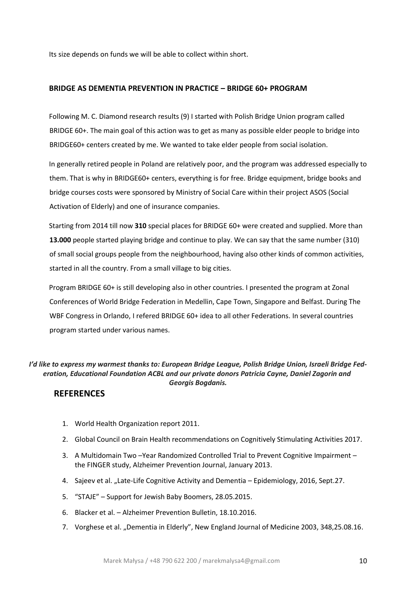Its size depends on funds we will be able to collect within short.

# **BRIDGE AS DEMENTIA PREVENTION IN PRACTICE – BRIDGE 60+ PROGRAM**

Following M. C. Diamond research results (9) I started with Polish Bridge Union program called BRIDGE 60+. The main goal of this action was to get as many as possible elder people to bridge into BRIDGE60+ centers created by me. We wanted to take elder people from social isolation.

In generally retired people in Poland are relatively poor, and the program was addressed especially to them. That is why in BRIDGE60+ centers, everything is for free. Bridge equipment, bridge books and bridge courses costs were sponsored by Ministry of Social Care within their project ASOS (Social Activation of Elderly) and one of insurance companies.

Starting from 2014 till now **310** special places for BRIDGE 60+ were created and supplied. More than **13.000** people started playing bridge and continue to play. We can say that the same number (310) of small social groups people from the neighbourhood, having also other kinds of common activities, started in all the country. From a small village to big cities.

Program BRIDGE 60+ is still developing also in other countries. I presented the program at Zonal Conferences of World Bridge Federation in Medellin, Cape Town, Singapore and Belfast. During The WBF Congress in Orlando, I refered BRIDGE 60+ idea to all other Federations. In several countries program started under various names.

# *I'd like to express my warmest thanks to: European Bridge League, Polish Bridge Union, Israeli Bridge Federation, Educational Foundation ACBL and our private donors Patricia Cayne, Daniel Zagorin and Georgis Bogdanis.*

# **REFERENCES**

- 1. World Health Organization report 2011.
- 2. Global Council on Brain Health recommendations on Cognitively Stimulating Activities 2017.
- 3. A Multidomain Two –Year Randomized Controlled Trial to Prevent Cognitive Impairment the FINGER study, Alzheimer Prevention Journal, January 2013.
- 4. Sajeev et al. "Late-Life Cognitive Activity and Dementia Epidemiology, 2016, Sept.27.
- 5. "STAJE" Support for Jewish Baby Boomers, 28.05.2015.
- 6. Blacker et al. Alzheimer Prevention Bulletin, 18.10.2016.
- 7. Vorghese et al. "Dementia in Elderly", New England Journal of Medicine 2003, 348,25.08.16.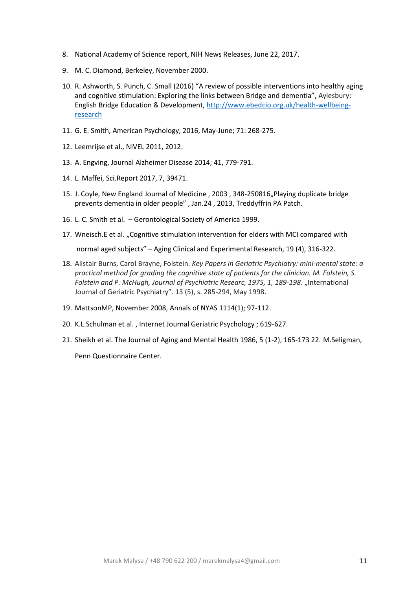- 8. National Academy of Science report, NIH News Releases, June 22, 2017.
- 9. M. C. Diamond, Berkeley, November 2000.
- 10. R. Ashworth, S. Punch, C. Small (2016) "A review of possible interventions into healthy aging and cognitive stimulation: Exploring the links between Bridge and dementia", Aylesbury: English Bridge Education & Development, [http://www.ebedcio.org.uk/health-wellbeing](http://www.ebedcio.org.uk/health-wellbeing-research)[research](http://www.ebedcio.org.uk/health-wellbeing-research)
- 11. G. E. Smith, American Psychology, 2016, May-June; 71: 268-275.
- 12. Leemrijse et al., NIVEL 2011, 2012.
- 13. A. Engving, Journal Alzheimer Disease 2014; 41, 779-791.
- 14. L. Maffei, Sci.Report 2017, 7, 39471.
- 15. J. Coyle, New England Journal of Medicine, 2003, 348-250816, Playing duplicate bridge prevents dementia in older people" , Jan.24 , 2013, Treddyffrin PA Patch.
- 16. L. C. Smith et al. Gerontological Society of America 1999.
- 17. Wneisch.E et al. "Cognitive stimulation intervention for elders with MCI compared with

normal aged subjects" – Aging Clinical and Experimental Research, 19 (4), 316-322.

- 18. Alistair Burns, Carol Brayne, Folstein. *Key Papers in Geriatric Psychiatry: mini-mental state: a practical method for grading the cognitive state of patients for the clinician. M. Folstein, S. Folstein and P. McHugh, Journal of Psychiatric Researc, 1975, 1, 189-198. "International* Journal of Geriatric Psychiatry". 13 (5), s. 285-294, May 1998.
- 19. MattsonMP, November 2008, Annals of NYAS 1114(1); 97-112.
- 20. K.L.Schulman et al. , Internet Journal Geriatric Psychology ; 619-627.
- 21. Sheikh et al. The Journal of Aging and Mental Health 1986, 5 (1-2), 165-173 22. M.Seligman, Penn Questionnaire Center.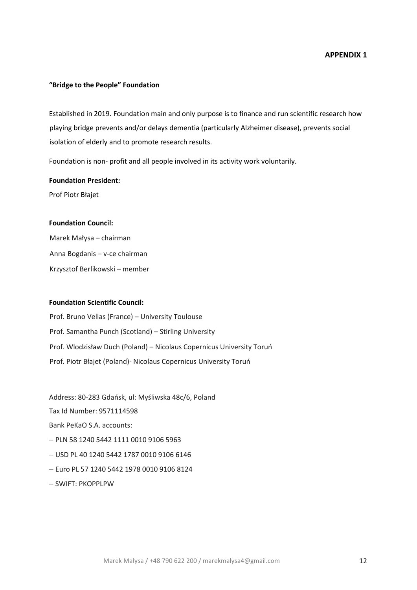#### **"Bridge to the People" Foundation**

Established in 2019. Foundation main and only purpose is to finance and run scientific research how playing bridge prevents and/or delays dementia (particularly Alzheimer disease), prevents social isolation of elderly and to promote research results.

Foundation is non- profit and all people involved in its activity work voluntarily.

## **Foundation President:**

Prof Piotr Błajet

#### **Foundation Council:**

Marek Małysa – chairman Anna Bogdanis – v-ce chairman Krzysztof Berlikowski – member

# **Foundation Scientific Council:**

Prof. Bruno Vellas (France) – University Toulouse Prof. Samantha Punch (Scotland) – Stirling University Prof. Wlodzisław Duch (Poland) – Nicolaus Copernicus University Toruń Prof. Piotr Błajet (Poland)- Nicolaus Copernicus University Toruń

Address: 80-283 Gdańsk, ul: Myśliwska 48c/6, Poland

Tax Id Number: 9571114598

Bank PeKaO S.A. accounts:

- PLN 58 1240 5442 1111 0010 9106 5963
- USD PL 40 1240 5442 1787 0010 9106 6146
- Euro PL 57 1240 5442 1978 0010 9106 8124
- SWIFT: PKOPPLPW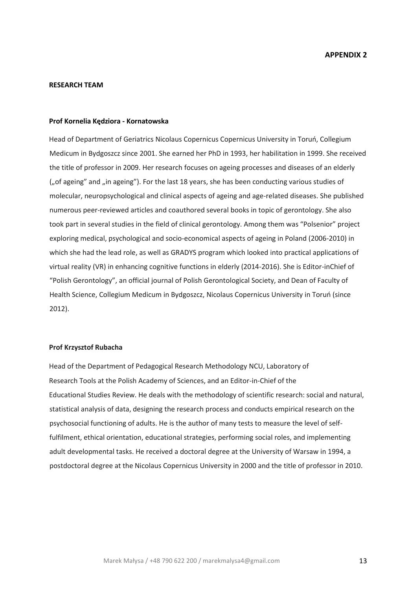#### **RESEARCH TEAM**

#### **Prof Kornelia Kędziora - Kornatowska**

Head of Department of Geriatrics Nicolaus Copernicus Copernicus University in Toruń, Collegium Medicum in Bydgoszcz since 2001. She earned her PhD in 1993, her habilitation in 1999. She received the title of professor in 2009. Her research focuses on ageing processes and diseases of an elderly ("of ageing" and "in ageing"). For the last 18 years, she has been conducting various studies of molecular, neuropsychological and clinical aspects of ageing and age-related diseases. She published numerous peer-reviewed articles and coauthored several books in topic of gerontology. She also took part in several studies in the field of clinical gerontology. Among them was "Polsenior" project exploring medical, psychological and socio-economical aspects of ageing in Poland (2006-2010) in which she had the lead role, as well as GRADYS program which looked into practical applications of virtual reality (VR) in enhancing cognitive functions in elderly (2014-2016). She is Editor-inChief of "Polish Gerontology", an official journal of Polish Gerontological Society, and Dean of Faculty of Health Science, Collegium Medicum in Bydgoszcz, Nicolaus Copernicus University in Toruń (since 2012).

#### **Prof Krzysztof Rubacha**

Head of the Department of Pedagogical Research Methodology NCU, Laboratory of Research Tools at the Polish Academy of Sciences, and an Editor-in-Chief of the Educational Studies Review. He deals with the methodology of scientific research: social and natural, statistical analysis of data, designing the research process and conducts empirical research on the psychosocial functioning of adults. He is the author of many tests to measure the level of selffulfilment, ethical orientation, educational strategies, performing social roles, and implementing adult developmental tasks. He received a doctoral degree at the University of Warsaw in 1994, a postdoctoral degree at the Nicolaus Copernicus University in 2000 and the title of professor in 2010.